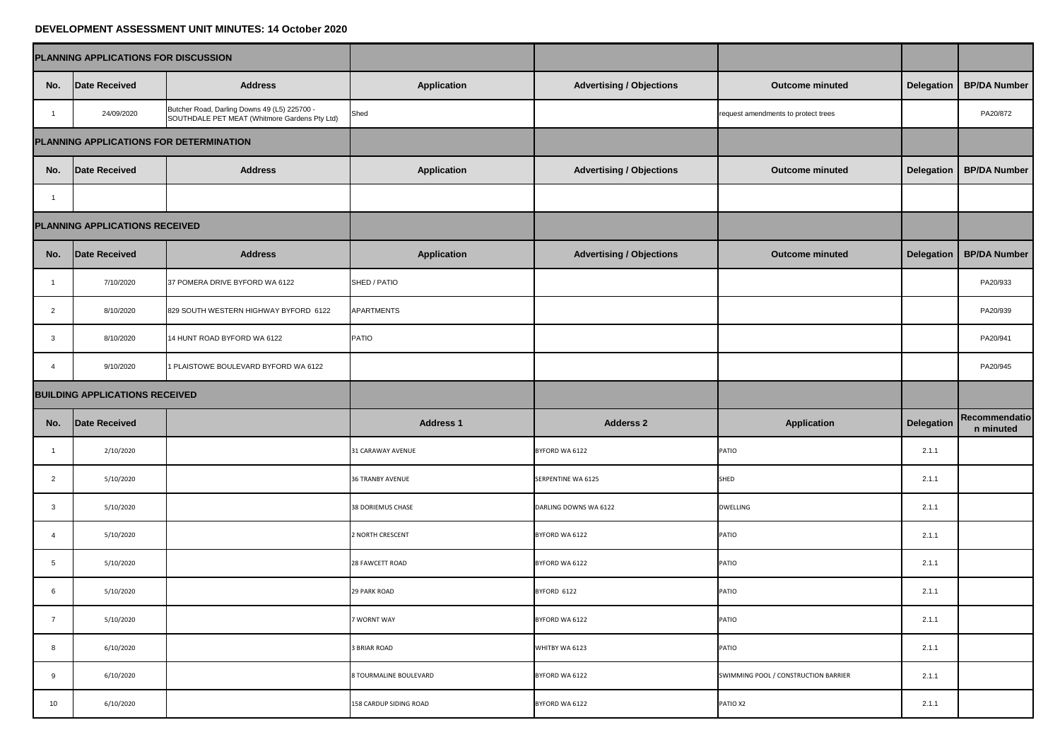## **DEVELOPMENT ASSESSMENT UNIT MINUTES: 14 October 2020**

| PLANNING APPLICATIONS FOR DISCUSSION  |                                         |                                                                                               |                          |                                 |                                      |            |                                    |
|---------------------------------------|-----------------------------------------|-----------------------------------------------------------------------------------------------|--------------------------|---------------------------------|--------------------------------------|------------|------------------------------------|
| No.                                   | <b>Date Received</b>                    | <b>Address</b>                                                                                | <b>Application</b>       | <b>Advertising / Objections</b> | <b>Outcome minuted</b>               |            | Delegation   BP/DA Number          |
|                                       | 24/09/2020                              | Butcher Road, Darling Downs 49 (L5) 225700 -<br>SOUTHDALE PET MEAT (Whitmore Gardens Pty Ltd) | Shed                     |                                 | request amendments to protect trees  |            | PA20/872                           |
|                                       | PLANNING APPLICATIONS FOR DETERMINATION |                                                                                               |                          |                                 |                                      |            |                                    |
| No.                                   | Date Received                           | <b>Address</b>                                                                                | <b>Application</b>       | <b>Advertising / Objections</b> | <b>Outcome minuted</b>               |            | <b>Delegation   BP/DA Number  </b> |
|                                       |                                         |                                                                                               |                          |                                 |                                      |            |                                    |
| PLANNING APPLICATIONS RECEIVED        |                                         |                                                                                               |                          |                                 |                                      |            |                                    |
| No.                                   | <b>Date Received</b>                    | <b>Address</b>                                                                                | <b>Application</b>       | <b>Advertising / Objections</b> | <b>Outcome minuted</b>               | Delegation | <b>BP/DA Number</b>                |
|                                       | 7/10/2020                               | 37 POMERA DRIVE BYFORD WA 6122                                                                | SHED / PATIO             |                                 |                                      |            | PA20/933                           |
| $\overline{2}$                        | 8/10/2020                               | 829 SOUTH WESTERN HIGHWAY BYFORD 6122                                                         | <b>APARTMENTS</b>        |                                 |                                      |            | PA20/939                           |
| $\mathbf{3}$                          | 8/10/2020                               | 14 HUNT ROAD BYFORD WA 6122                                                                   | <b>PATIO</b>             |                                 |                                      |            | PA20/941                           |
| $\overline{4}$                        | 9/10/2020                               | 1 PLAISTOWE BOULEVARD BYFORD WA 6122                                                          |                          |                                 |                                      |            | PA20/945                           |
| <b>BUILDING APPLICATIONS RECEIVED</b> |                                         |                                                                                               |                          |                                 |                                      |            |                                    |
| No.                                   | Date Received                           |                                                                                               | <b>Address 1</b>         | <b>Adderss 2</b>                | <b>Application</b>                   | Delegation | Recommendatio<br>n minuted         |
|                                       | 2/10/2020                               |                                                                                               | <b>31 CARAWAY AVENUE</b> | BYFORD WA 6122                  | <b>PATIO</b>                         | 2.1.1      |                                    |
| $\overline{2}$                        | 5/10/2020                               |                                                                                               | <b>36 TRANBY AVENUE</b>  | <b>SERPENTINE WA 6125</b>       | SHED                                 | 2.1.1      |                                    |
| $\mathbf{3}$                          | 5/10/2020                               |                                                                                               | 38 DORIEMUS CHASE        | DARLING DOWNS WA 6122           | <b>DWELLING</b>                      | 2.1.1      |                                    |
|                                       | 5/10/2020                               |                                                                                               | 2 NORTH CRESCENT         | BYFORD WA 6122                  | <b>PATIO</b>                         | 2.1.1      |                                    |
| $5\overline{)}$                       | 5/10/2020                               |                                                                                               | 28 FAWCETT ROAD          | BYFORD WA 6122                  | <b>PATIO</b>                         | 2.1.1      |                                    |
| $6\overline{6}$                       | 5/10/2020                               |                                                                                               | <b>29 PARK ROAD</b>      | BYFORD 6122                     | <b>PATIO</b>                         | 2.1.1      |                                    |
| $\overline{7}$                        | 5/10/2020                               |                                                                                               | 7 WORNT WAY              | BYFORD WA 6122                  | <b>PATIO</b>                         | 2.1.1      |                                    |
| $8\phantom{1}$                        | 6/10/2020                               |                                                                                               | <b>3 BRIAR ROAD</b>      | WHITBY WA 6123                  | <b>PATIO</b>                         | 2.1.1      |                                    |
| 9                                     | 6/10/2020                               |                                                                                               | 8 TOURMALINE BOULEVARD   | BYFORD WA 6122                  | SWIMMING POOL / CONSTRUCTION BARRIER | 2.1.1      |                                    |
| 10 <sup>°</sup>                       | 6/10/2020                               |                                                                                               | 158 CARDUP SIDING ROAD   | BYFORD WA 6122                  | PATIO X2                             | 2.1.1      |                                    |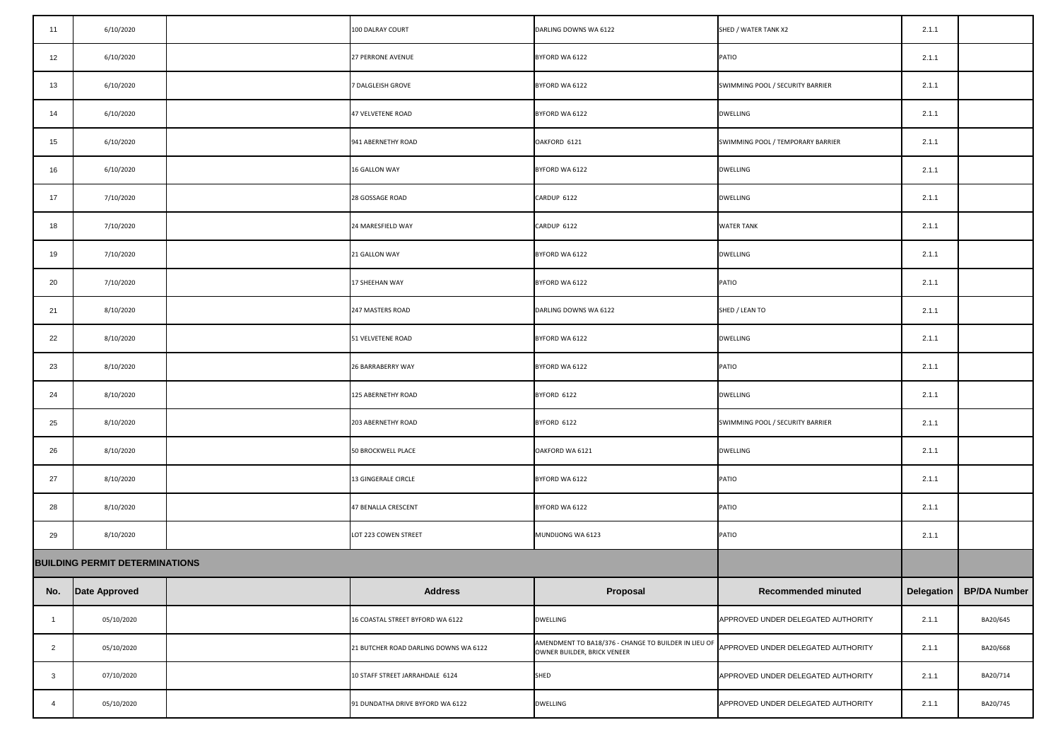| 11             | 6/10/2020                             | 100 DALRAY COURT                      | DARLING DOWNS WA 6122                                                                                                  | SHED / WATER TANK X2               | 2.1.1 |                           |
|----------------|---------------------------------------|---------------------------------------|------------------------------------------------------------------------------------------------------------------------|------------------------------------|-------|---------------------------|
| 12             | 6/10/2020                             | <b>27 PERRONE AVENUE</b>              | BYFORD WA 6122                                                                                                         | <b>PATIO</b>                       | 2.1.1 |                           |
| 13             | 6/10/2020                             | 7 DALGLEISH GROVE                     | BYFORD WA 6122                                                                                                         | SWIMMING POOL / SECURITY BARRIER   | 2.1.1 |                           |
| 14             | 6/10/2020                             | 47 VELVETENE ROAD                     | BYFORD WA 6122                                                                                                         | <b>DWELLING</b>                    | 2.1.1 |                           |
| 15             | 6/10/2020                             | 941 ABERNETHY ROAD                    | OAKFORD 6121                                                                                                           | SWIMMING POOL / TEMPORARY BARRIER  | 2.1.1 |                           |
| 16             | 6/10/2020                             | <b>16 GALLON WAY</b>                  | BYFORD WA 6122                                                                                                         | DWELLING                           | 2.1.1 |                           |
| 17             | 7/10/2020                             | 28 GOSSAGE ROAD                       | CARDUP 6122                                                                                                            | <b>DWELLING</b>                    | 2.1.1 |                           |
| 18             | 7/10/2020                             | 24 MARESFIELD WAY                     | CARDUP 6122                                                                                                            | <b>WATER TANK</b>                  | 2.1.1 |                           |
| 19             | 7/10/2020                             | 21 GALLON WAY                         | BYFORD WA 6122                                                                                                         | <b>DWELLING</b>                    | 2.1.1 |                           |
| 20             | 7/10/2020                             | 17 SHEEHAN WAY                        | BYFORD WA 6122                                                                                                         | <b>PATIO</b>                       | 2.1.1 |                           |
| 21             | 8/10/2020                             | 247 MASTERS ROAD                      | DARLING DOWNS WA 6122                                                                                                  | SHED / LEAN TO                     | 2.1.1 |                           |
| 22             | 8/10/2020                             | 51 VELVETENE ROAD                     | BYFORD WA 6122                                                                                                         | DWELLING                           | 2.1.1 |                           |
| 23             | 8/10/2020                             | 26 BARRABERRY WAY                     | BYFORD WA 6122                                                                                                         | <b>PATIO</b>                       | 2.1.1 |                           |
| 24             | 8/10/2020                             | 125 ABERNETHY ROAD                    | BYFORD 6122                                                                                                            | <b>DWELLING</b>                    | 2.1.1 |                           |
| 25             | 8/10/2020                             | 203 ABERNETHY ROAD                    | BYFORD 6122                                                                                                            | SWIMMING POOL / SECURITY BARRIER   | 2.1.1 |                           |
| 26             | 8/10/2020                             | 50 BROCKWELL PLACE                    | OAKFORD WA 6121                                                                                                        | DWELLING                           | 2.1.1 |                           |
| 27             | 8/10/2020                             | 13 GINGERALE CIRCLE                   | BYFORD WA 6122                                                                                                         | <b>PATIO</b>                       | 2.1.1 |                           |
| 28             | 8/10/2020                             | 47 BENALLA CRESCENT                   | BYFORD WA 6122                                                                                                         | PATIO                              | 2.1.1 |                           |
| 29             | 8/10/2020                             | LOT 223 COWEN STREET                  | MUNDIJONG WA 6123                                                                                                      | <b>PATIO</b>                       | 2.1.1 |                           |
|                | <b>BUILDING PERMIT DETERMINATIONS</b> |                                       |                                                                                                                        |                                    |       |                           |
|                | No. Date Approved                     | <b>Address</b>                        | <b>Proposal</b>                                                                                                        | <b>Recommended minuted</b>         |       | Delegation   BP/DA Number |
|                | 05/10/2020                            | 16 COASTAL STREET BYFORD WA 6122      | <b>DWELLING</b>                                                                                                        | APPROVED UNDER DELEGATED AUTHORITY | 2.1.1 | BA20/645                  |
| $\overline{2}$ | 05/10/2020                            | 21 BUTCHER ROAD DARLING DOWNS WA 6122 | AMENDMENT TO BA18/376 - CHANGE TO BUILDER IN LIEU OF APPROVED UNDER DELEGATED AUTHORITY<br>OWNER BUILDER, BRICK VENEER |                                    | 2.1.1 | BA20/668                  |
| 3              | 07/10/2020                            | 10 STAFF STREET JARRAHDALE 6124       | SHED                                                                                                                   | APPROVED UNDER DELEGATED AUTHORITY | 2.1.1 | BA20/714                  |
|                | 05/10/2020                            | 91 DUNDATHA DRIVE BYFORD WA 6122      | <b>DWELLING</b>                                                                                                        | APPROVED UNDER DELEGATED AUTHORITY | 2.1.1 | BA20/745                  |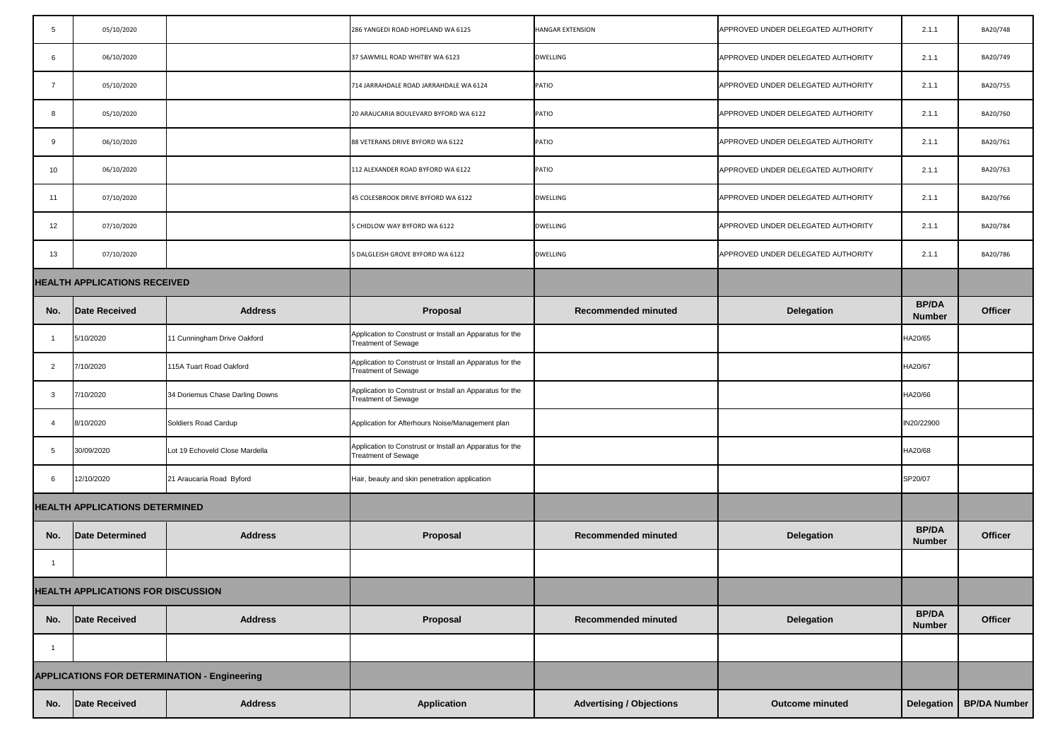| 5                                         | 05/10/2020                            |                                                     | 286 YANGEDI ROAD HOPELAND WA 6125                                                      | <b>HANGAR EXTENSION</b>         | APPROVED UNDER DELEGATED AUTHORITY | 2.1.1                         | BA20/748            |
|-------------------------------------------|---------------------------------------|-----------------------------------------------------|----------------------------------------------------------------------------------------|---------------------------------|------------------------------------|-------------------------------|---------------------|
| 6                                         | 06/10/2020                            |                                                     | 37 SAWMILL ROAD WHITBY WA 6123                                                         | <b>DWELLING</b>                 | APPROVED UNDER DELEGATED AUTHORITY | 2.1.1                         | BA20/749            |
| $\overline{7}$                            | 05/10/2020                            |                                                     | 714 JARRAHDALE ROAD JARRAHDALE WA 6124                                                 | <b>PATIO</b>                    | APPROVED UNDER DELEGATED AUTHORITY | 2.1.1                         | BA20/755            |
| 8                                         | 05/10/2020                            |                                                     | 20 ARAUCARIA BOULEVARD BYFORD WA 6122                                                  | <b>PATIO</b>                    | APPROVED UNDER DELEGATED AUTHORITY | 2.1.1                         | BA20/760            |
| -9                                        | 06/10/2020                            |                                                     | 88 VETERANS DRIVE BYFORD WA 6122                                                       | <b>PATIO</b>                    | APPROVED UNDER DELEGATED AUTHORITY | 2.1.1                         | BA20/761            |
| 10                                        | 06/10/2020                            |                                                     | 112 ALEXANDER ROAD BYFORD WA 6122                                                      | <b>PATIO</b>                    | APPROVED UNDER DELEGATED AUTHORITY | 2.1.1                         | BA20/763            |
| 11                                        | 07/10/2020                            |                                                     | 45 COLESBROOK DRIVE BYFORD WA 6122                                                     | <b>DWELLING</b>                 | APPROVED UNDER DELEGATED AUTHORITY | 2.1.1                         | BA20/766            |
| 12                                        | 07/10/2020                            |                                                     | 5 CHIDLOW WAY BYFORD WA 6122                                                           | <b>DWELLING</b>                 | APPROVED UNDER DELEGATED AUTHORITY | 2.1.1                         | BA20/784            |
| 13                                        | 07/10/2020                            |                                                     | 5 DALGLEISH GROVE BYFORD WA 6122                                                       | <b>DWELLING</b>                 | APPROVED UNDER DELEGATED AUTHORITY | 2.1.1                         | BA20/786            |
|                                           | <b>HEALTH APPLICATIONS RECEIVED</b>   |                                                     |                                                                                        |                                 |                                    |                               |                     |
| No.                                       | Date Received                         | <b>Address</b>                                      | <b>Proposal</b>                                                                        | <b>Recommended minuted</b>      | <b>Delegation</b>                  | <b>BP/DA</b><br><b>Number</b> | <b>Officer</b>      |
|                                           | 5/10/2020                             | 11 Cunningham Drive Oakford                         | Application to Construst or Install an Apparatus for the<br><b>Treatment of Sewage</b> |                                 |                                    | HA20/65                       |                     |
| $\overline{2}$                            | 7/10/2020                             | 115A Tuart Road Oakford                             | Application to Construst or Install an Apparatus for the<br><b>Treatment of Sewage</b> |                                 |                                    | HA20/67                       |                     |
| $\mathbf{3}$                              | 7/10/2020                             | 34 Doriemus Chase Darling Downs                     | Application to Construst or Install an Apparatus for the<br><b>Treatment of Sewage</b> |                                 |                                    | HA20/66                       |                     |
|                                           | 8/10/2020                             | Soldiers Road Cardup                                | Application for Afterhours Noise/Management plan                                       |                                 |                                    | IN20/22900                    |                     |
| -5                                        | 30/09/2020                            | Lot 19 Echoveld Close Mardella                      | Application to Construst or Install an Apparatus for the<br><b>Treatment of Sewage</b> |                                 |                                    | HA20/68                       |                     |
| 6                                         | 12/10/2020                            | 21 Araucaria Road Byford                            | Hair, beauty and skin penetration application                                          |                                 |                                    | SP20/07                       |                     |
|                                           | <b>HEALTH APPLICATIONS DETERMINED</b> |                                                     |                                                                                        |                                 |                                    |                               |                     |
| No.                                       | Date Determined                       | <b>Address</b>                                      | <b>Proposal</b>                                                                        | <b>Recommended minuted</b>      | <b>Delegation</b>                  | <b>BP/DA</b><br><b>Number</b> | <b>Officer</b>      |
|                                           |                                       |                                                     |                                                                                        |                                 |                                    |                               |                     |
| <b>HEALTH APPLICATIONS FOR DISCUSSION</b> |                                       |                                                     |                                                                                        |                                 |                                    |                               |                     |
| No.                                       | Date Received                         | <b>Address</b>                                      | Proposal                                                                               | <b>Recommended minuted</b>      | <b>Delegation</b>                  | <b>BP/DA</b><br><b>Number</b> | <b>Officer</b>      |
|                                           |                                       |                                                     |                                                                                        |                                 |                                    |                               |                     |
|                                           |                                       | <b>APPLICATIONS FOR DETERMINATION - Engineering</b> |                                                                                        |                                 |                                    |                               |                     |
| No.                                       | Date Received                         | <b>Address</b>                                      | <b>Application</b>                                                                     | <b>Advertising / Objections</b> | <b>Outcome minuted</b>             | Delegation                    | <b>BP/DA Number</b> |

|                  | <b>HANGAR EXTENSION</b>         | APPROVED UNDER DELEGATED AUTHORITY | 2.1.1                         | BA20/748            |
|------------------|---------------------------------|------------------------------------|-------------------------------|---------------------|
|                  | <b>DWELLING</b>                 | APPROVED UNDER DELEGATED AUTHORITY | 2.1.1                         | BA20/749            |
| 6124             | <b>PATIO</b>                    | APPROVED UNDER DELEGATED AUTHORITY | 2.1.1                         | BA20/755            |
| 6122             | <b>PATIO</b>                    | APPROVED UNDER DELEGATED AUTHORITY | 2.1.1                         | BA20/760            |
|                  | PATIO                           | APPROVED UNDER DELEGATED AUTHORITY | 2.1.1                         | BA20/761            |
|                  | PATIO                           | APPROVED UNDER DELEGATED AUTHORITY | 2.1.1                         | BA20/763            |
|                  | <b>DWELLING</b>                 | APPROVED UNDER DELEGATED AUTHORITY | 2.1.1                         | BA20/766            |
|                  | <b>DWELLING</b>                 | APPROVED UNDER DELEGATED AUTHORITY | 2.1.1                         | BA20/784            |
|                  | <b>DWELLING</b>                 | APPROVED UNDER DELEGATED AUTHORITY | 2.1.1                         | BA20/786            |
|                  |                                 |                                    |                               |                     |
|                  | <b>Recommended minuted</b>      | <b>Delegation</b>                  | <b>BP/DA</b><br><b>Number</b> | <b>Officer</b>      |
| pparatus for the |                                 |                                    | HA20/65                       |                     |
| pparatus for the |                                 |                                    | HA20/67                       |                     |
| pparatus for the |                                 |                                    | HA20/66                       |                     |
| gement plan      |                                 |                                    | IN20/22900                    |                     |
| pparatus for the |                                 |                                    | HA20/68                       |                     |
| ication          |                                 |                                    | SP20/07                       |                     |
|                  |                                 |                                    |                               |                     |
|                  | <b>Recommended minuted</b>      | <b>Delegation</b>                  | <b>BP/DA</b><br><b>Number</b> | <b>Officer</b>      |
|                  |                                 |                                    |                               |                     |
|                  |                                 |                                    |                               |                     |
|                  | <b>Recommended minuted</b>      | <b>Delegation</b>                  | <b>BP/DA</b><br><b>Number</b> | <b>Officer</b>      |
|                  |                                 |                                    |                               |                     |
|                  |                                 |                                    |                               |                     |
|                  | <b>Advertising / Objections</b> | <b>Outcome minuted</b>             | <b>Delegation</b>             | <b>BP/DA Number</b> |